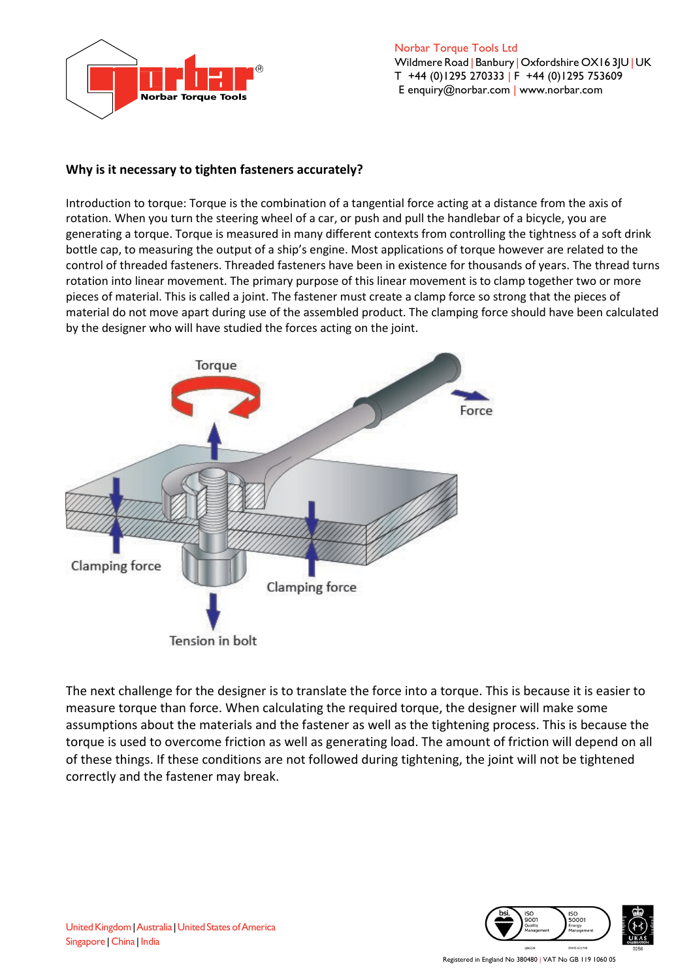

 Norbar Torque Tools Ltd Wildmere Road | Banbury | Oxfordshire OX16 3JU | UK T +44 (0)1295 270333 | F +44 (0)1295 753609 E [enquiry@norbar.com](mailto:enquiry@norbar.com) | [www.norbar.com](http://www.norbar.com/)

## **Why is it necessary to tighten fasteners accurately?**

Introduction to torque: Torque is the combination of a tangential force acting at a distance from the axis of rotation. When you turn the steering wheel of a car, or push and pull the handlebar of a bicycle, you are generating a torque. Torque is measured in many different contexts from controlling the tightness of a soft drink bottle cap, to measuring the output of a ship's engine. Most applications of torque however are related to the control of threaded fasteners. Threaded fasteners have been in existence for thousands of years. The thread turns rotation into linear movement. The primary purpose of this linear movement is to clamp together two or more pieces of material. This is called a joint. The fastener must create a clamp force so strong that the pieces of material do not move apart during use of the assembled product. The clamping force should have been calculated by the designer who will have studied the forces acting on the joint.



The next challenge for the designer is to translate the force into a torque. This is because it is easier to measure torque than force. When calculating the required torque, the designer will make some assumptions about the materials and the fastener as well as the tightening process. This is because the torque is used to overcome friction as well as generating load. The amount of friction will depend on all of these things. If these conditions are not followed during tightening, the joint will not be tightened correctly and the fastener may break.

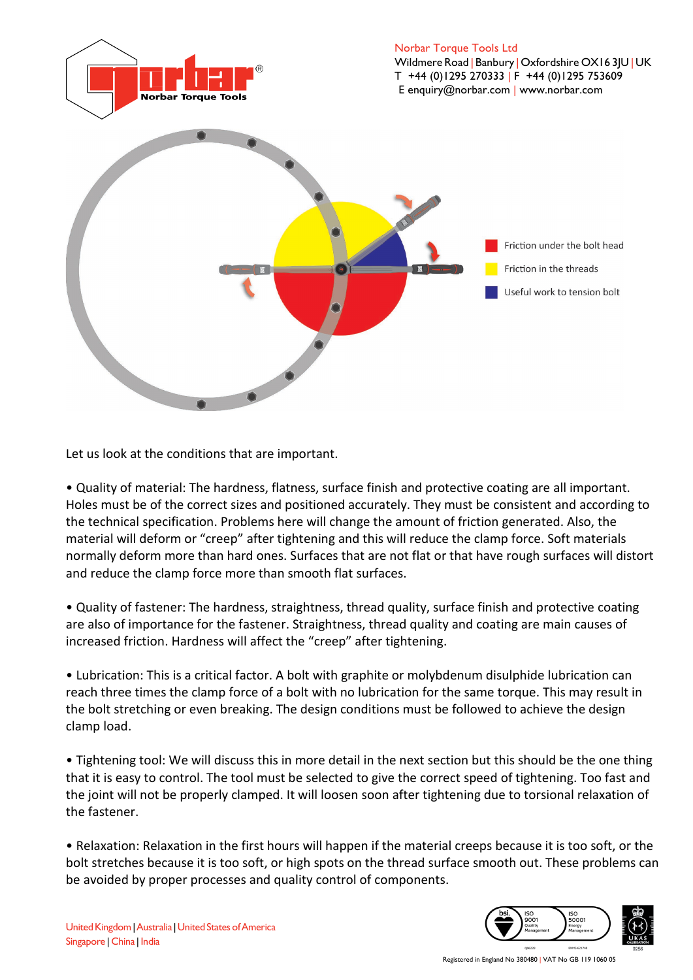

Let us look at the conditions that are important.

• Quality of material: The hardness, flatness, surface finish and protective coating are all important. Holes must be of the correct sizes and positioned accurately. They must be consistent and according to the technical specification. Problems here will change the amount of friction generated. Also, the material will deform or "creep" after tightening and this will reduce the clamp force. Soft materials normally deform more than hard ones. Surfaces that are not flat or that have rough surfaces will distort and reduce the clamp force more than smooth flat surfaces.

• Quality of fastener: The hardness, straightness, thread quality, surface finish and protective coating are also of importance for the fastener. Straightness, thread quality and coating are main causes of increased friction. Hardness will affect the "creep" after tightening.

• Lubrication: This is a critical factor. A bolt with graphite or molybdenum disulphide lubrication can reach three times the clamp force of a bolt with no lubrication for the same torque. This may result in the bolt stretching or even breaking. The design conditions must be followed to achieve the design clamp load.

• Tightening tool: We will discuss this in more detail in the next section but this should be the one thing that it is easy to control. The tool must be selected to give the correct speed of tightening. Too fast and the joint will not be properly clamped. It will loosen soon after tightening due to torsional relaxation of the fastener.

• Relaxation: Relaxation in the first hours will happen if the material creeps because it is too soft, or the bolt stretches because it is too soft, or high spots on the thread surface smooth out. These problems can be avoided by proper processes and quality control of components.

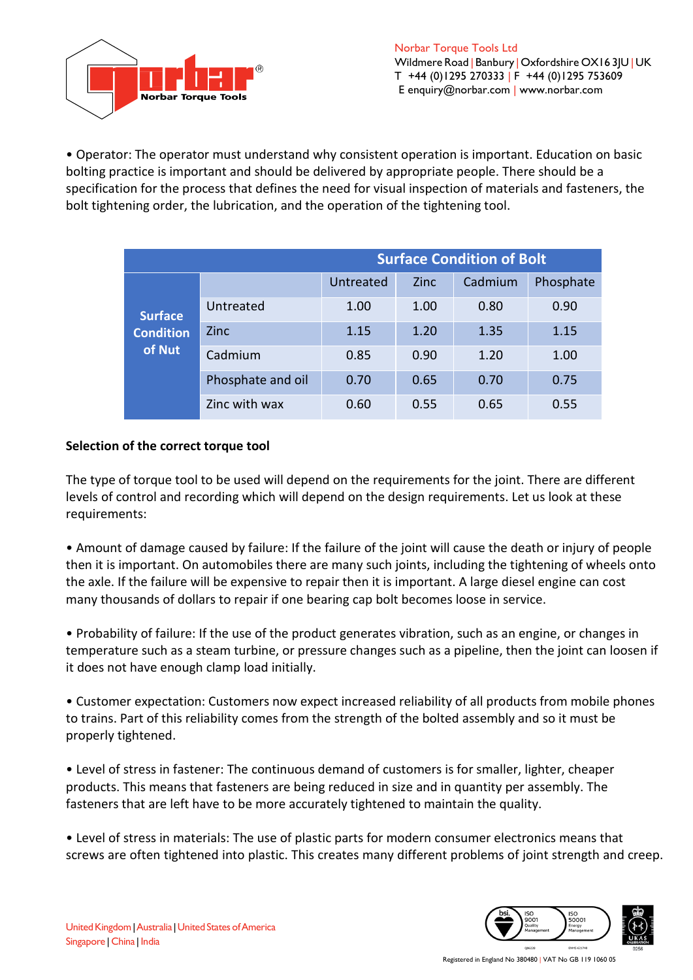

• Operator: The operator must understand why consistent operation is important. Education on basic bolting practice is important and should be delivered by appropriate people. There should be a specification for the process that defines the need for visual inspection of materials and fasteners, the bolt tightening order, the lubrication, and the operation of the tightening tool.

|                                              | <b>Surface Condition of Bolt</b> |           |             |         |           |
|----------------------------------------------|----------------------------------|-----------|-------------|---------|-----------|
| <b>Surface</b><br><b>Condition</b><br>of Nut |                                  | Untreated | <b>Zinc</b> | Cadmium | Phosphate |
|                                              | Untreated                        | 1.00      | 1.00        | 0.80    | 0.90      |
|                                              | <b>Zinc</b>                      | 1.15      | 1.20        | 1.35    | 1.15      |
|                                              | Cadmium                          | 0.85      | 0.90        | 1.20    | 1.00      |
|                                              | Phosphate and oil                | 0.70      | 0.65        | 0.70    | 0.75      |
|                                              | Zinc with wax                    | 0.60      | 0.55        | 0.65    | 0.55      |

## **Selection of the correct torque tool**

The type of torque tool to be used will depend on the requirements for the joint. There are different levels of control and recording which will depend on the design requirements. Let us look at these requirements:

• Amount of damage caused by failure: If the failure of the joint will cause the death or injury of people then it is important. On automobiles there are many such joints, including the tightening of wheels onto the axle. If the failure will be expensive to repair then it is important. A large diesel engine can cost many thousands of dollars to repair if one bearing cap bolt becomes loose in service.

• Probability of failure: If the use of the product generates vibration, such as an engine, or changes in temperature such as a steam turbine, or pressure changes such as a pipeline, then the joint can loosen if it does not have enough clamp load initially.

• Customer expectation: Customers now expect increased reliability of all products from mobile phones to trains. Part of this reliability comes from the strength of the bolted assembly and so it must be properly tightened.

• Level of stress in fastener: The continuous demand of customers is for smaller, lighter, cheaper products. This means that fasteners are being reduced in size and in quantity per assembly. The fasteners that are left have to be more accurately tightened to maintain the quality.

• Level of stress in materials: The use of plastic parts for modern consumer electronics means that screws are often tightened into plastic. This creates many different problems of joint strength and creep.